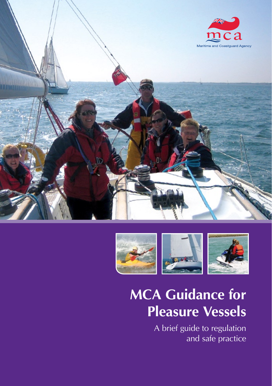



# **MCA Guidance for Pleasure Vessels**

A brief guide to regulation and safe practice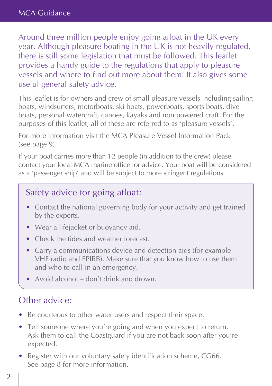Around three million people enjoy going afloat in the UK every year. Although pleasure boating in the UK is not heavily regulated, there is still some legislation that must be followed. This leaflet provides a handy guide to the regulations that apply to pleasure vessels and where to find out more about them. It also gives some useful general safety advice.

This leaflet is for owners and crew of small pleasure vessels including sailing boats, windsurfers, motorboats, ski boats, powerboats, sports boats, dive boats, personal watercraft, canoes, kayaks and non powered craft. For the purposes of this leaflet, all of these are referred to as 'pleasure vessels'.

For more information visit the MCA Pleasure Vessel Information Pack (see page 9).

If your boat carries more than 12 people (in addition to the crew) please contact your local MCA marine office for advice. Your boat will be considered as a 'passenger ship' and will be subject to more stringent regulations.

#### Safety advice for going afloat:

- Contact the national governing body for your activity and get trained by the experts.
- Wear a lifejacket or buoyancy aid.
- Check the tides and weather forecast.
- Carry a communications device and detection aids (for example VHF radio and EPIRB). Make sure that you know how to use them and who to call in an emergency.
- Avoid alcohol don't drink and drown.

### Other advice:

- Be courteous to other water users and respect their space.
- Tell someone where you're going and when you expect to return. Ask them to call the Coastguard if you are not back soon after you're expected.
- Register with our voluntary safety identification scheme, CG66. See page 8 for more information.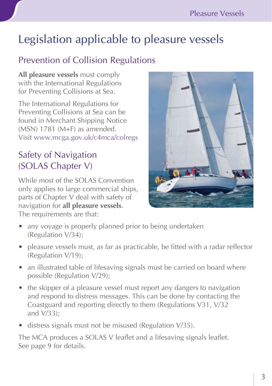## Legislation applicable to pleasure vessels

### Prevention of Collision Regulations

**All pleasure vessels** must comply with the International Regulations for Preventing Collisions at Sea.

The International Regulations for Preventing Collisions at Sea can be found in Merchant Shipping Notice (MSN) 1781 (M+F) as amended. Visit www.mcga.gov.uk/c4mca/colregs

#### Safety of Navigation (SOLAS Chapter V)

While most of the SOLAS Convention only applies to large commercial ships, parts of Chapter V deal with safety of navigation for **all pleasure vessels**. The requirements are that:



- any voyage is properly planned prior to being undertaken (Regulation V/34);
- pleasure vessels must, as far as practicable, be fitted with a radar reflector (Regulation V/19);
- an illustrated table of lifesaving signals must be carried on board where possible (Regulation V/29);
- the skipper of a pleasure vessel must report any dangers to navigation and respond to distress messages. This can be done by contacting the Coastguard and reporting directly to them (Regulations V31, V/32 and V/33);
- distress signals must not be misused (Regulation V/35).

The MCA produces a SOLAS V leaflet and a lifesaving signals leaflet. See page 9 for details.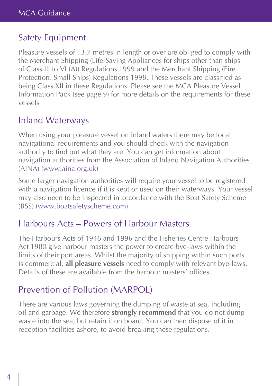### Safety Equipment

Pleasure vessels of 13.7 metres in length or over are obliged to comply with the Merchant Shipping (Life-Saving Appliances for ships other than ships of Class III to VI (A)) Regulations 1999 and the Merchant Shipping (Fire Protection: Small Ships) Regulations 1998. These vessels are classified as being Class XII in these Regulations. Please see the MCA Pleasure Vessel Information Pack (see page 9) for more details on the requirements for these vessels

#### Inland Waterways

When using your pleasure vessel on inland waters there may be local navigational requirements and you should check with the navigation authority to find out what they are. You can get information about navigation authorities from the Association of Inland Navigation Authorities (AINA) (www.aina.org.uk)

Some larger navigation authorities will require your vessel to be registered with a navigation licence if it is kept or used on their waterways. Your vessel may also need to be inspected in accordance with the Boat Safety Scheme (BSS) (www.boatsafetyscheme.com)

#### Harbours Acts – Powers of Harbour Masters

The Harbours Acts of 1946 and 1996 and the Fisheries Centre Harbours Act 1980 give harbour masters the power to create bye-laws within the limits of their port areas. Whilst the majority of shipping within such ports is commercial, **all pleasure vessels** need to comply with relevant bye-laws. Details of these are available from the harbour masters' offices.

#### Prevention of Pollution (MARPOL)

There are various laws governing the dumping of waste at sea, including oil and garbage. We therefore **strongly recommend** that you do not dump waste into the sea, but retain it on board. You can then dispose of it in reception facilities ashore, to avoid breaking these regulations.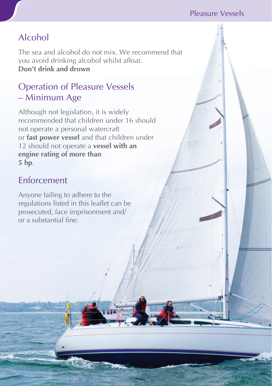#### Pleasure Vessels

5

#### Alcohol

The sea and alcohol do not mix. We recommend that you avoid drinking alcohol whilst afloat. **Don't drink and drown**

### Operation of Pleasure Vessels – Minimum Age

Although not legislation, it is widely recommended that children under 16 should not operate a personal watercraft or **fast power vessel** and that children under 12 should not operate a **vessel with an engine rating of more than 5 hp**.

#### Enforcement

Anyone failing to adhere to the regulations listed in this leaflet can be prosecuted, face imprisonment and/ or a substantial fine.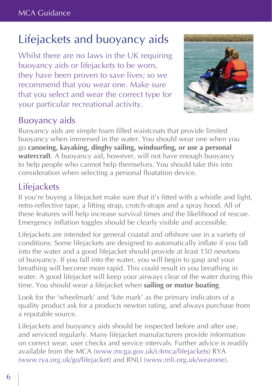### Lifejackets and buoyancy aids

Whilst there are no laws in the UK requiring buoyancy aids or lifejackets to be worn, they have been proven to save lives; so we recommend that you wear one. Make sure that you select and wear the correct type for your particular recreational activity.



#### Buoyancy aids

Buoyancy aids are simple foam filled waistcoats that provide limited buoyancy when immersed in the water. You should wear one when you go **canoeing, kayaking, dinghy sailing, windsurfing, or use a personal watercraft**. A buoyancy aid, however, will not have enough buoyancy to help people who cannot help themselves. You should take this into consideration when selecting a personal floatation device.

### **Lifejackets**

If you're buying a lifejacket make sure that it's fitted with a whistle and light, retro-reflective tape, a lifting strap, crotch-straps and a spray hood. All of these features will help increase survival times and the likelihood of rescue. Emergency inflation toggles should be clearly visible and accessible.

Lifejackets are intended for general coastal and offshore use in a variety of conditions. Some lifejackets are designed to automatically inflate if you fall into the water and a good lifejacket should provide at least 150 newtons of buoyancy. If you fall into the water, you will begin to gasp and your breathing will become more rapid. This could result in you breathing in water. A good lifejacket will keep your airways clear of the water during this time. You should wear a lifejacket when **sailing or motor boating**.

Look for the 'wheelmark' and 'kite mark' as the primary indicators of a quality product ask for a products newton rating, and always purchase from a reputable source.

Lifejackets and buoyancy aids should be inspected before and after use, and serviced regularly. Many lifejacket manufacturers provide information on correct wear, user checks and service intervals. Further advice is readily available from the MCA (www.mcga.gov.uk/c4mca/lifejackets) RYA (www.rya.org.uk/go/lifejacket) and RNLI (www.rnli.org.uk/wearone).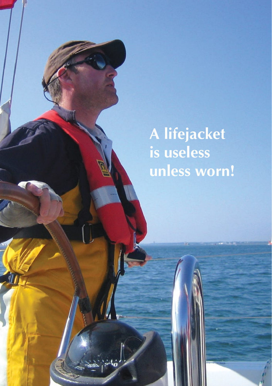**A lifejacket is useless unless worn!**

7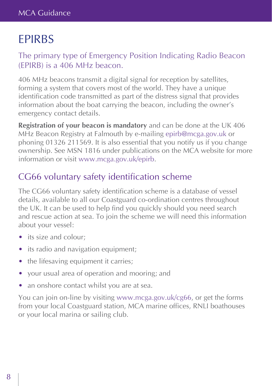## EPIRBS

#### The primary type of Emergency Position Indicating Radio Beacon (EPIRB) is a 406 MHz beacon.

406 MHz beacons transmit a digital signal for reception by satellites, forming a system that covers most of the world. They have a unique identification code transmitted as part of the distress signal that provides information about the boat carrying the beacon, including the owner's emergency contact details.

**Registration of your beacon is mandatory** and can be done at the UK 406 MHz Beacon Registry at Falmouth by e-mailing epirb@mcga.gov.uk or phoning 01326 211569. It is also essential that you notify us if you change ownership. See MSN 1816 under publications on the MCA website for more information or visit www.mcga.gov.uk/epirb.

### CG66 voluntary safety identification scheme

The CG66 voluntary safety identification scheme is a database of vessel details, available to all our Coastguard co-ordination centres throughout the UK. It can be used to help find you quickly should you need search and rescue action at sea. To join the scheme we will need this information about your vessel:

- its size and colour:
- its radio and navigation equipment;
- the lifesaving equipment it carries:
- your usual area of operation and mooring; and
- an onshore contact whilst you are at sea.

You can join on-line by visiting www.mcga.gov.uk/cg66, or get the forms from your local Coastguard station, MCA marine offices, RNLI boathouses or your local marina or sailing club.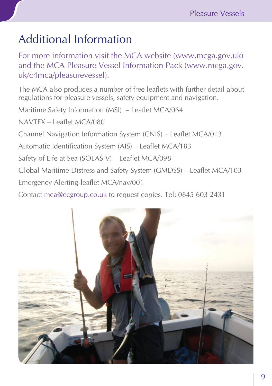## Additional Information

For more information visit the MCA website (www.mcga.gov.uk) and the MCA Pleasure Vessel Information Pack (www.mcga.gov. uk/c4mca/pleasurevessel).

The MCA also produces a number of free leaflets with further detail about regulations for pleasure vessels, safety equipment and navigation.

Maritime Safety Information (MSI) – Leaflet MCA/064

NAVTEX – Leaflet MCA/080

Channel Navigation Information System (CNIS) – Leaflet MCA/013

Automatic Identification System (AIS) – Leaflet MCA/183

Safety of Life at Sea (SOLAS V) – Leaflet MCA/098

Global Maritime Distress and Safety System (GMDSS) – Leaflet MCA/103

Emergency Alerting-leaflet MCA/nav/001

Contact mca@ecgroup.co.uk to request copies. Tel: 0845 603 2431

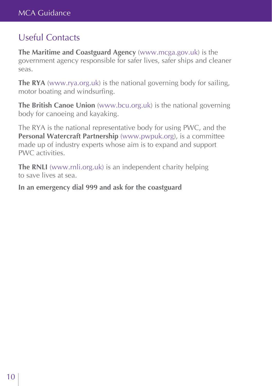### Useful Contacts

**The Maritime and Coastguard Agency** (www.mcga.gov.uk) is the government agency responsible for safer lives, safer ships and cleaner seas.

**The RYA** (www.rya.org.uk) is the national governing body for sailing, motor boating and windsurfing.

**The British Canoe Union** (www.bcu.org.uk) is the national governing body for canoeing and kayaking.

The RYA is the national representative body for using PWC, and the **Personal Watercraft Partnership** (www.pwpuk.org), is a committee made up of industry experts whose aim is to expand and support PWC activities.

**The RNLI** (www.rnli.org.uk) is an independent charity helping to save lives at sea.

**In an emergency dial 999 and ask for the coastguard**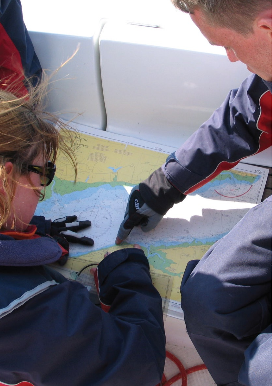